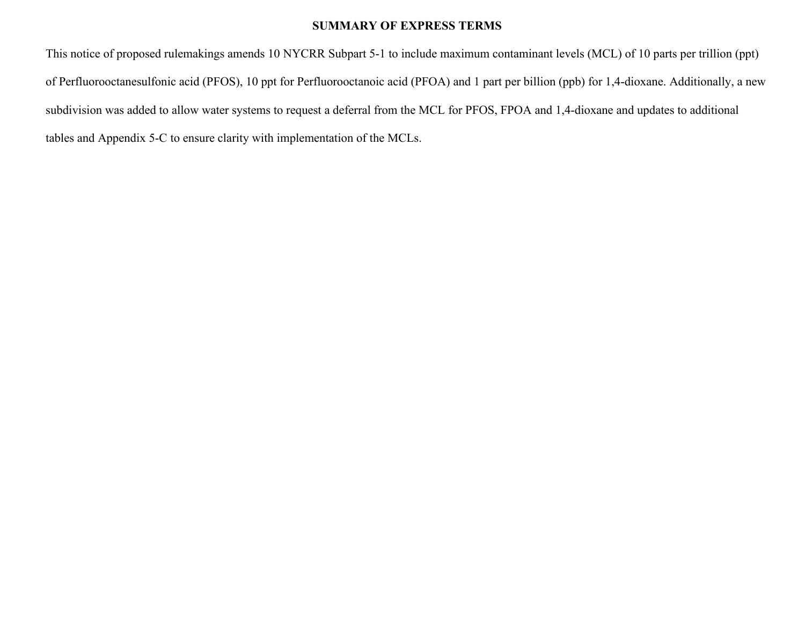#### **SUMMARY OF EXPRESS TERMS**

This notice of proposed rulemakings amends 10 NYCRR Subpart 5-1 to include maximum contaminant levels (MCL) of 10 parts per trillion (ppt) of Perfluorooctanesulfonic acid (PFOS), 10 ppt for Perfluorooctanoic acid (PFOA) and 1 part per billion (ppb) for 1,4-dioxane. Additionally, a new subdivision was added to allow water systems to request a deferral from the MCL for PFOS, FPOA and 1,4-dioxane and updates to additional tables and Appendix 5-C to ensure clarity with implementation of the MCLs.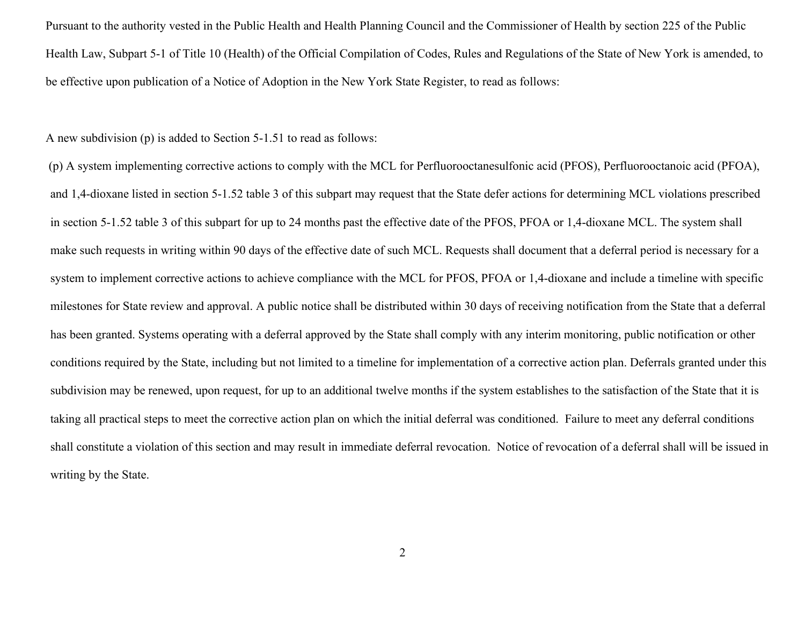Pursuant to the authority vested in the Public Health and Health Planning Council and the Commissioner of Health by section 225 of the Public Health Law, Subpart 5-1 of Title 10 (Health) of the Official Compilation of Codes, Rules and Regulations of the State of New York is amended, to be effective upon publication of a Notice of Adoption in the New York State Register, to read as follows:

#### A new subdivision (p) is added to Section 5-1.51 to read as follows:

 (p) A system implementing corrective actions to comply with the MCL for Perfluorooctanesulfonic acid (PFOS), Perfluorooctanoic acid (PFOA), and 1,4-dioxane listed in section 5-1.52 table 3 of this subpart may request that the State defer actions for determining MCL violations prescribed in section 5-1.52 table 3 of this subpart for up to 24 months past the effective date of the PFOS, PFOA or 1,4-dioxane MCL. The system shall make such requests in writing within 90 days of the effective date of such MCL. Requests shall document that a deferral period is necessary for a system to implement corrective actions to achieve compliance with the MCL for PFOS, PFOA or 1,4-dioxane and include a timeline with specific milestones for State review and approval. A public notice shall be distributed within 30 days of receiving notification from the State that a deferral has been granted. Systems operating with a deferral approved by the State shall comply with any interim monitoring, public notification or other conditions required by the State, including but not limited to a timeline for implementation of a corrective action plan. Deferrals granted under this subdivision may be renewed, upon request, for up to an additional twelve months if the system establishes to the satisfaction of the State that it is taking all practical steps to meet the corrective action plan on which the initial deferral was conditioned. Failure to meet any deferral conditions shall constitute a violation of this section and may result in immediate deferral revocation. Notice of revocation of a deferral shall will be issued inwriting by the State.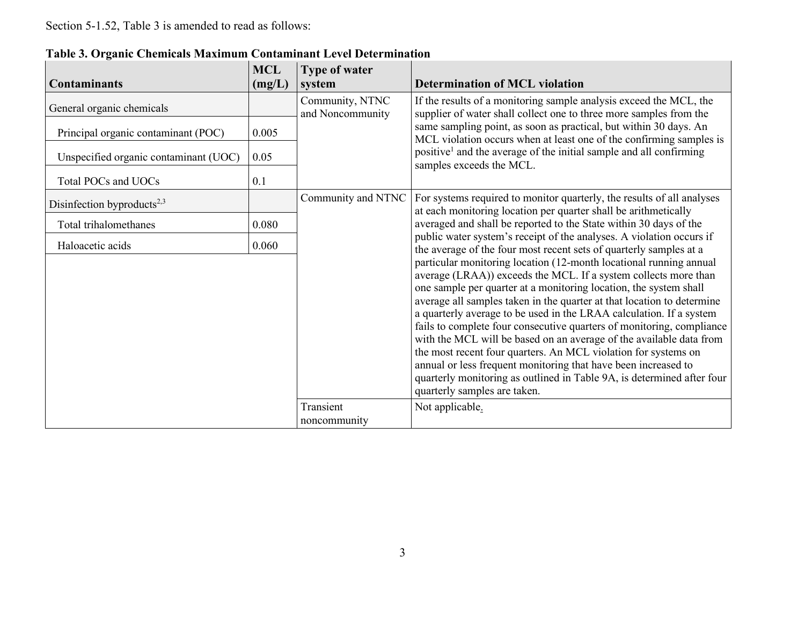|                                        | <b>MCL</b> | <b>Type of water</b>                |                                                                                                                                                                                                                                                                                                                                                                                                                                                                                                                                                                                   |
|----------------------------------------|------------|-------------------------------------|-----------------------------------------------------------------------------------------------------------------------------------------------------------------------------------------------------------------------------------------------------------------------------------------------------------------------------------------------------------------------------------------------------------------------------------------------------------------------------------------------------------------------------------------------------------------------------------|
| <b>Contaminants</b>                    | (mg/L)     | system                              | <b>Determination of MCL violation</b>                                                                                                                                                                                                                                                                                                                                                                                                                                                                                                                                             |
| General organic chemicals              |            | Community, NTNC<br>and Noncommunity | If the results of a monitoring sample analysis exceed the MCL, the<br>supplier of water shall collect one to three more samples from the                                                                                                                                                                                                                                                                                                                                                                                                                                          |
| Principal organic contaminant (POC)    | 0.005      |                                     | same sampling point, as soon as practical, but within 30 days. An<br>MCL violation occurs when at least one of the confirming samples is                                                                                                                                                                                                                                                                                                                                                                                                                                          |
| Unspecified organic contaminant (UOC)  | 0.05       |                                     | positive <sup>1</sup> and the average of the initial sample and all confirming<br>samples exceeds the MCL.                                                                                                                                                                                                                                                                                                                                                                                                                                                                        |
| Total POCs and UOCs                    | 0.1        |                                     |                                                                                                                                                                                                                                                                                                                                                                                                                                                                                                                                                                                   |
| Disinfection byproducts <sup>2,3</sup> |            | Community and NTNC                  | For systems required to monitor quarterly, the results of all analyses<br>at each monitoring location per quarter shall be arithmetically                                                                                                                                                                                                                                                                                                                                                                                                                                         |
| Total trihalomethanes                  | 0.080      |                                     | averaged and shall be reported to the State within 30 days of the<br>public water system's receipt of the analyses. A violation occurs if                                                                                                                                                                                                                                                                                                                                                                                                                                         |
| Haloacetic acids                       | 0.060      |                                     | the average of the four most recent sets of quarterly samples at a<br>particular monitoring location (12-month locational running annual<br>average (LRAA)) exceeds the MCL. If a system collects more than<br>one sample per quarter at a monitoring location, the system shall<br>average all samples taken in the quarter at that location to determine<br>a quarterly average to be used in the LRAA calculation. If a system<br>fails to complete four consecutive quarters of monitoring, compliance<br>with the MCL will be based on an average of the available data from |
|                                        |            |                                     | the most recent four quarters. An MCL violation for systems on<br>annual or less frequent monitoring that have been increased to<br>quarterly monitoring as outlined in Table 9A, is determined after four<br>quarterly samples are taken.                                                                                                                                                                                                                                                                                                                                        |
|                                        |            | Transient<br>noncommunity           | Not applicable.                                                                                                                                                                                                                                                                                                                                                                                                                                                                                                                                                                   |

**Table 3. Organic Chemicals Maximum Contaminant Level Determination**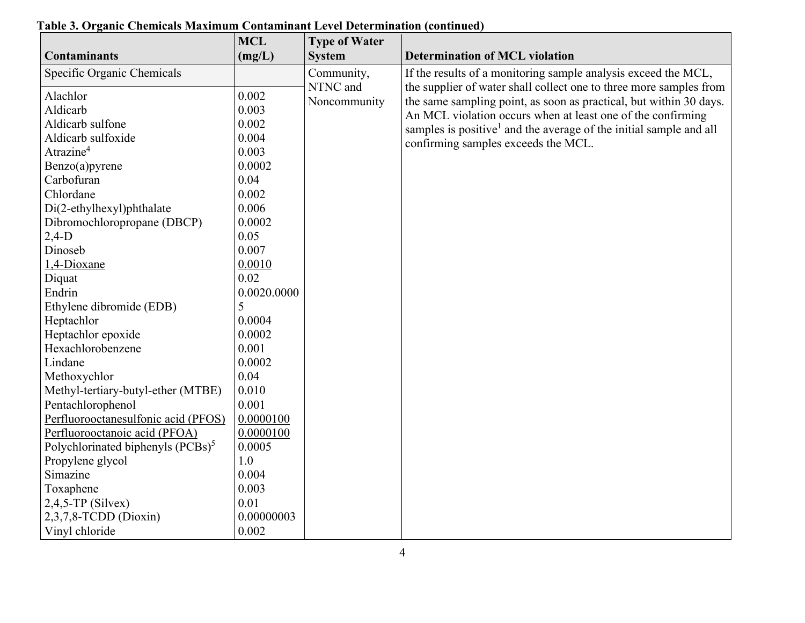|                                               | <b>MCL</b>  | <b>Type of Water</b> |                                                                                |
|-----------------------------------------------|-------------|----------------------|--------------------------------------------------------------------------------|
| <b>Contaminants</b>                           | (mg/L)      | <b>System</b>        | <b>Determination of MCL violation</b>                                          |
| Specific Organic Chemicals                    |             | Community,           | If the results of a monitoring sample analysis exceed the MCL,                 |
| Alachlor                                      | 0.002       | NTNC and             | the supplier of water shall collect one to three more samples from             |
|                                               |             | Noncommunity         | the same sampling point, as soon as practical, but within 30 days.             |
| Aldicarb                                      | 0.003       |                      | An MCL violation occurs when at least one of the confirming                    |
| Aldicarb sulfone                              | 0.002       |                      | samples is positive <sup>1</sup> and the average of the initial sample and all |
| Aldicarb sulfoxide                            | 0.004       |                      | confirming samples exceeds the MCL.                                            |
| Atrazine <sup>4</sup>                         | 0.003       |                      |                                                                                |
| Benzo(a)pyrene                                | 0.0002      |                      |                                                                                |
| Carbofuran                                    | 0.04        |                      |                                                                                |
| Chlordane                                     | 0.002       |                      |                                                                                |
| Di(2-ethylhexyl)phthalate                     | 0.006       |                      |                                                                                |
| Dibromochloropropane (DBCP)                   | 0.0002      |                      |                                                                                |
| $2,4-D$                                       | 0.05        |                      |                                                                                |
| Dinoseb                                       | 0.007       |                      |                                                                                |
| 1,4-Dioxane                                   | 0.0010      |                      |                                                                                |
| Diquat                                        | 0.02        |                      |                                                                                |
| Endrin                                        | 0.0020.0000 |                      |                                                                                |
| Ethylene dibromide (EDB)                      | 5           |                      |                                                                                |
| Heptachlor                                    | 0.0004      |                      |                                                                                |
| Heptachlor epoxide                            | 0.0002      |                      |                                                                                |
| Hexachlorobenzene                             | 0.001       |                      |                                                                                |
| Lindane                                       | 0.0002      |                      |                                                                                |
| Methoxychlor                                  | 0.04        |                      |                                                                                |
| Methyl-tertiary-butyl-ether (MTBE)            | 0.010       |                      |                                                                                |
| Pentachlorophenol                             | 0.001       |                      |                                                                                |
| Perfluorooctanesulfonic acid (PFOS)           | 0.0000100   |                      |                                                                                |
| Perfluorooctanoic acid (PFOA)                 | 0.0000100   |                      |                                                                                |
| Polychlorinated biphenyls (PCBs) <sup>5</sup> | 0.0005      |                      |                                                                                |
| Propylene glycol                              | 1.0         |                      |                                                                                |
| Simazine                                      | 0.004       |                      |                                                                                |
| Toxaphene                                     | 0.003       |                      |                                                                                |
| $2,4,5$ -TP (Silvex)                          | 0.01        |                      |                                                                                |
| $2,3,7,8$ -TCDD (Dioxin)                      | 0.00000003  |                      |                                                                                |
| Vinyl chloride                                | 0.002       |                      |                                                                                |

# **Table 3. Organic Chemicals Maximum Contaminant Level Determination (continued)**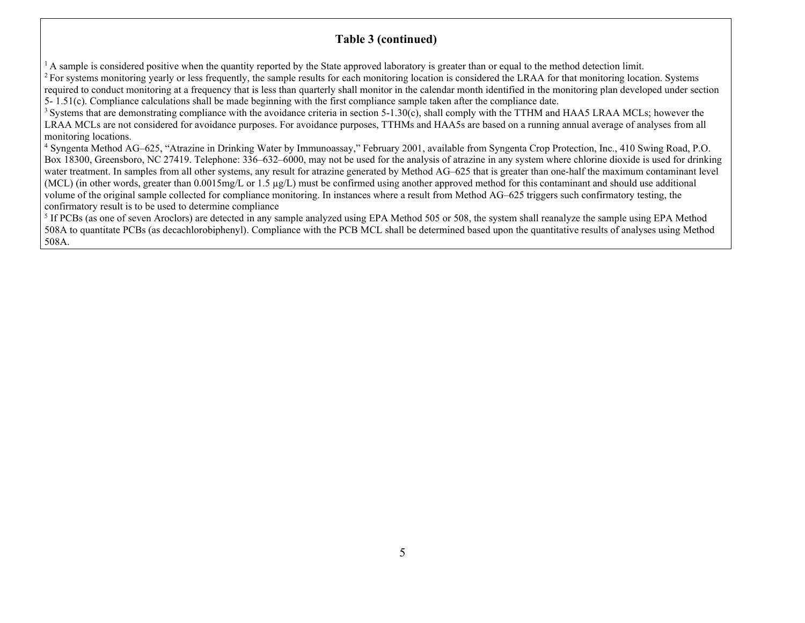# **Table 3 (continued)**

 $<sup>1</sup>$  A sample is considered positive when the quantity reported by the State approved laboratory is greater than or equal to the method detection limit.</sup>

 $2$ For systems monitoring yearly or less frequently, the sample results for each monitoring location is considered the LRAA for that monitoring location. Systems required to conduct monitoring at a frequency that is less than quarterly shall monitor in the calendar month identified in the monitoring plan developed under section 5- 1.51(c). Compliance calculations shall be made beginning with the first compliance sample taken after the compliance date.

 $3$  Systems that are demonstrating compliance with the avoidance criteria in section 5-1.30(c), shall comply with the TTHM and HAA5 LRAA MCLs; however the LRAA MCLs are not considered for avoidance purposes. For avoidance purposes, TTHMs and HAA5s are based on a running annual average of analyses from all monitoring locations.

<sup>4</sup> Syngenta Method AG–625, "Atrazine in Drinking Water by Immunoassay," February 2001, available from Syngenta Crop Protection, Inc., 410 Swing Road, P.O. Box 18300, Greensboro, NC 27419. Telephone: 336–632–6000, may not be used for the analysis of atrazine in any system where chlorine dioxide is used for drinking water treatment. In samples from all other systems, any result for atrazine generated by Method AG–625 that is greater than one-half the maximum contaminant level (MCL) (in other words, greater than  $0.0015$ mg/L or 1.5  $\mu$ g/L) must be confirmed using another approved method for this contaminant and should use additional volume of the original sample collected for compliance monitoring. In instances where a result from Method AG–625 triggers such confirmatory testing, theconfirmatory result is to be used to determine compliance

<sup>5</sup> If PCBs (as one of seven Aroclors) are detected in any sample analyzed using EPA Method 505 or 508, the system shall reanalyze the sample using EPA Method 508A to quantitate PCBs (as decachlorobiphenyl). Compliance with the PCB MCL shall be determined based upon the quantitative results of analyses using Method 508A.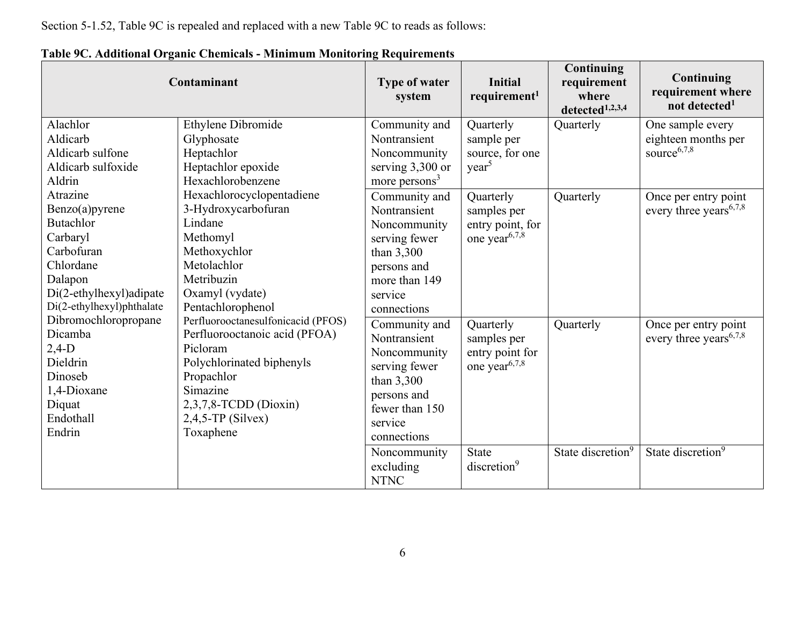Section 5-1.52, Table 9C is repealed and replaced with a new Table 9C to reads as follows:

|                                                                                                                                                          | Contaminant                                                                                                                                                                                                                                                                                                                                                             | <b>Type of water</b><br>system                                                                                                          | <b>Initial</b><br>requirement <sup>1</sup>                                | <b>Continuing</b><br>requirement<br>where<br>detected <sup>1,2,3,4</sup> | Continuing<br>requirement where<br>not detected <sup>1</sup>            |
|----------------------------------------------------------------------------------------------------------------------------------------------------------|-------------------------------------------------------------------------------------------------------------------------------------------------------------------------------------------------------------------------------------------------------------------------------------------------------------------------------------------------------------------------|-----------------------------------------------------------------------------------------------------------------------------------------|---------------------------------------------------------------------------|--------------------------------------------------------------------------|-------------------------------------------------------------------------|
| Alachlor<br>Aldicarb<br>Aldicarb sulfone<br>Aldicarb sulfoxide<br>Aldrin                                                                                 | Ethylene Dibromide<br>Glyphosate<br>Heptachlor<br>Heptachlor epoxide<br>Hexachlorobenzene                                                                                                                                                                                                                                                                               | Community and<br>Nontransient<br>Noncommunity<br>serving 3,300 or<br>more persons <sup>3</sup>                                          | Quarterly<br>sample per<br>source, for one<br>year <sup>5</sup>           | Quarterly                                                                | One sample every<br>eighteen months per<br>source $6,7,8$               |
| Atrazine<br>Benzo(a)pyrene<br><b>Butachlor</b><br>Carbaryl<br>Carbofuran<br>Chlordane<br>Dalapon<br>Di(2-ethylhexyl)adipate<br>Di(2-ethylhexyl)phthalate | Hexachlorocyclopentadiene<br>3-Hydroxycarbofuran<br>Lindane<br>Methomyl<br>Methoxychlor<br>Metolachlor<br>Metribuzin<br>Oxamyl (vydate)<br>Pentachlorophenol<br>Perfluorooctanesulfonicacid (PFOS)<br>Perfluorooctanoic acid (PFOA)<br>Picloram<br>Polychlorinated biphenyls<br>Propachlor<br>Simazine<br>$2,3,7,8$ -TCDD (Dioxin)<br>$2,4,5$ -TP (Silvex)<br>Toxaphene | Community and<br>Nontransient<br>Noncommunity<br>serving fewer<br>than 3,300<br>persons and<br>more than 149<br>service<br>connections  | Quarterly<br>samples per<br>entry point, for<br>one year <sup>6,7,8</sup> | Quarterly                                                                | Once per entry point<br>every three years <sup><math>6,7,8</math></sup> |
| Dibromochloropropane<br>Dicamba<br>$2,4-D$<br>Dieldrin<br>Dinoseb<br>1,4-Dioxane<br>Diquat<br>Endothall<br>Endrin                                        |                                                                                                                                                                                                                                                                                                                                                                         | Community and<br>Nontransient<br>Noncommunity<br>serving fewer<br>than 3,300<br>persons and<br>fewer than 150<br>service<br>connections | Quarterly<br>samples per<br>entry point for<br>one year <sup>6,7,8</sup>  | Quarterly                                                                | Once per entry point<br>every three years <sup><math>6,7,8</math></sup> |
|                                                                                                                                                          |                                                                                                                                                                                                                                                                                                                                                                         | Noncommunity<br>excluding<br><b>NTNC</b>                                                                                                | <b>State</b><br>discretion <sup>9</sup>                                   | State discretion <sup>9</sup>                                            | State discretion <sup>9</sup>                                           |

**Table 9C. Additional Organic Chemicals - Minimum Monitoring Requirements**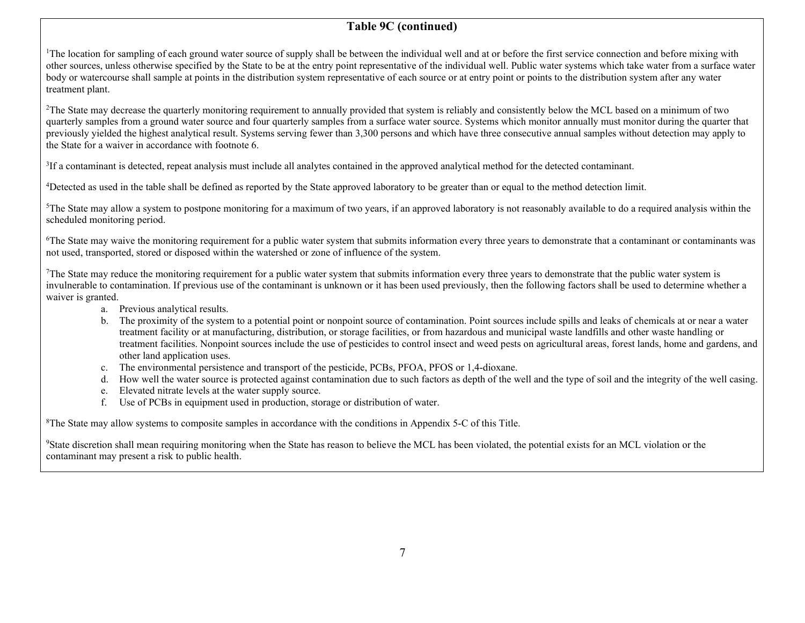# **Table 9C (continued)**

<sup>1</sup>The location for sampling of each ground water source of supply shall be between the individual well and at or before the first service connection and before mixing with other sources, unless otherwise specified by the State to be at the entry point representative of the individual well. Public water systems which take water from a surface water body or watercourse shall sample at points in the distribution system representative of each source or at entry point or points to the distribution system after any water treatment plant.

<sup>2</sup>The State may decrease the quarterly monitoring requirement to annually provided that system is reliably and consistently below the MCL based on a minimum of two quarterly samples from a ground water source and four quarterly samples from a surface water source. Systems which monitor annually must monitor during the quarter that previously yielded the highest analytical result. Systems serving fewer than 3,300 persons and which have three consecutive annual samples without detection may apply to the State for a waiver in accordance with footnote 6.

<sup>3</sup>If a contaminant is detected, repeat analysis must include all analytes contained in the approved analytical method for the detected contaminant.

<sup>4</sup>Detected as used in the table shall be defined as reported by the State approved laboratory to be greater than or equal to the method detection limit.

 ${}^{5}$ The State may allow a system to postpone monitoring for a maximum of two years, if an approved laboratory is not reasonably available to do a required analysis within the scheduled monitoring period.

<sup>6</sup>The State may waive the monitoring requirement for a public water system that submits information every three years to demonstrate that a contaminant or contaminants was not used, transported, stored or disposed within the watershed or zone of influence of the system.

The State may reduce the monitoring requirement for a public water system that submits information every three years to demonstrate that the public water system is invulnerable to contamination. If previous use of the contaminant is unknown or it has been used previously, then the following factors shall be used to determine whether a waiver is granted.

- a. Previous analytical results.
- b. The proximity of the system to a potential point or nonpoint source of contamination. Point sources include spills and leaks of chemicals at or near a water treatment facility or at manufacturing, distribution, or storage facilities, or from hazardous and municipal waste landfills and other waste handling or treatment facilities. Nonpoint sources include the use of pesticides to control insect and weed pests on agricultural areas, forest lands, home and gardens, and other land application uses.
- c. The environmental persistence and transport of the pesticide, PCBs, PFOA, PFOS or 1,4-dioxane.
- d. How well the water source is protected against contamination due to such factors as depth of the well and the type of soil and the integrity of the well casing.
- e. Elevated nitrate levels at the water supply source.
- f. Use of PCBs in equipment used in production, storage or distribution of water.

<sup>8</sup>The State may allow systems to composite samples in accordance with the conditions in Appendix 5-C of this Title.

<sup>9</sup>State discretion shall mean requiring monitoring when the State has reason to believe the MCL has been violated, the potential exists for an MCL violation or the contaminant may present a risk to public health.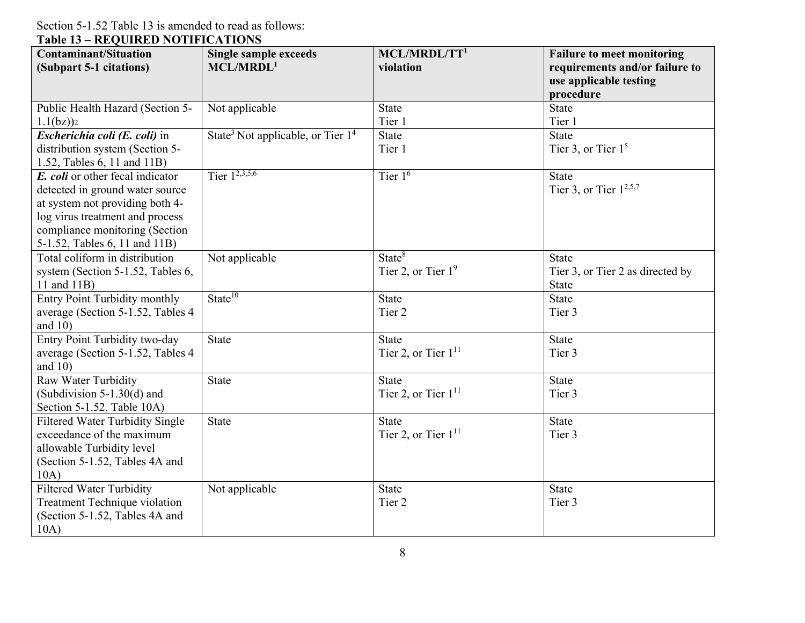Section 5-1.52 Table 13 is amended to read as follows: **Table 13 – REQUIRED NOTIFICATIONS** 

| <b>Contaminant/Situation</b>           | <b>Single sample exceeds</b>                    | MCL/MRDL/TT <sup>1</sup> | <b>Failure to meet monitoring</b> |
|----------------------------------------|-------------------------------------------------|--------------------------|-----------------------------------|
| (Subpart 5-1 citations)                | MCL/MRDL <sup>1</sup>                           | violation                | requirements and/or failure to    |
|                                        |                                                 |                          | use applicable testing            |
|                                        |                                                 |                          | procedure                         |
| Public Health Hazard (Section 5-       | Not applicable                                  | <b>State</b>             | <b>State</b>                      |
| $1.1(bz)$ ) <sup>2</sup>               |                                                 | Tier 1                   | Tier 1                            |
| Escherichia coli (E. coli) in          | State <sup>3</sup> Not applicable, or Tier $14$ | <b>State</b>             | <b>State</b>                      |
| distribution system (Section 5-        |                                                 | Tier 1                   | Tier 3, or Tier $15$              |
| 1.52, Tables 6, 11 and 11B)            |                                                 |                          |                                   |
| E. coli or other fecal indicator       | Tier $1^{2,3,5,6}$                              | Tier $16$                | <b>State</b>                      |
| detected in ground water source        |                                                 |                          | Tier 3, or Tier $1^{2,5,7}$       |
| at system not providing both 4-        |                                                 |                          |                                   |
| log virus treatment and process        |                                                 |                          |                                   |
| compliance monitoring (Section         |                                                 |                          |                                   |
| 5-1.52, Tables 6, 11 and 11B)          |                                                 |                          |                                   |
| Total coliform in distribution         | Not applicable                                  | State <sup>8</sup>       | <b>State</b>                      |
| system (Section 5-1.52, Tables 6,      |                                                 | Tier 2, or Tier $19$     | Tier 3, or Tier 2 as directed by  |
| 11 and 11B)                            |                                                 |                          | <b>State</b>                      |
| <b>Entry Point Turbidity monthly</b>   | State <sup>10</sup>                             | <b>State</b>             | <b>State</b>                      |
| average (Section 5-1.52, Tables 4      |                                                 | Tier 2                   | Tier 3                            |
| and $10$ )                             |                                                 |                          |                                   |
| Entry Point Turbidity two-day          | <b>State</b>                                    | <b>State</b>             | <b>State</b>                      |
| average (Section 5-1.52, Tables 4      |                                                 | Tier 2, or Tier $1^{11}$ | Tier 3                            |
| and $10$ )                             |                                                 |                          |                                   |
| Raw Water Turbidity                    | <b>State</b>                                    | <b>State</b>             | <b>State</b>                      |
| (Subdivision $5-1.30(d)$ and           |                                                 | Tier 2, or Tier $1^{11}$ | Tier 3                            |
| Section 5-1.52, Table 10A)             |                                                 |                          |                                   |
| <b>Filtered Water Turbidity Single</b> | <b>State</b>                                    | <b>State</b>             | <b>State</b>                      |
| exceedance of the maximum              |                                                 | Tier 2, or Tier $1^{11}$ | Tier 3                            |
| allowable Turbidity level              |                                                 |                          |                                   |
| (Section 5-1.52, Tables 4A and         |                                                 |                          |                                   |
| 10A)                                   |                                                 |                          |                                   |
| <b>Filtered Water Turbidity</b>        | Not applicable                                  | <b>State</b>             | <b>State</b>                      |
| Treatment Technique violation          |                                                 | Tier 2                   | Tier 3                            |
| (Section 5-1.52, Tables 4A and         |                                                 |                          |                                   |
| 10A)                                   |                                                 |                          |                                   |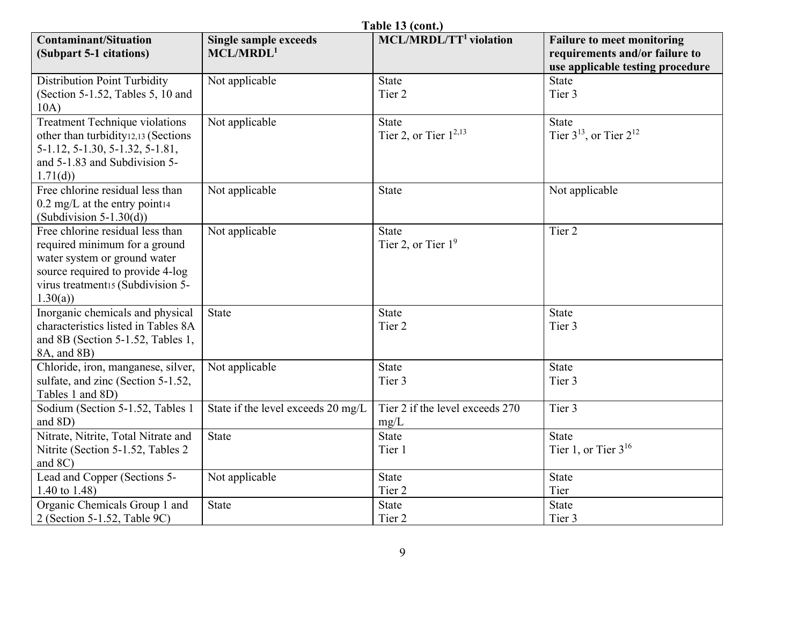| Table 13 (cont.)                                                                                                                                                                      |                                                       |                                         |                                                                                                         |  |  |
|---------------------------------------------------------------------------------------------------------------------------------------------------------------------------------------|-------------------------------------------------------|-----------------------------------------|---------------------------------------------------------------------------------------------------------|--|--|
| <b>Contaminant/Situation</b><br>(Subpart 5-1 citations)                                                                                                                               | <b>Single sample exceeds</b><br>MCL/MRDL <sup>1</sup> | $MCL/MRDL/TT1$ violation                | <b>Failure to meet monitoring</b><br>requirements and/or failure to<br>use applicable testing procedure |  |  |
| <b>Distribution Point Turbidity</b>                                                                                                                                                   | Not applicable                                        | State                                   | <b>State</b>                                                                                            |  |  |
| (Section 5-1.52, Tables 5, 10 and<br>10A)                                                                                                                                             |                                                       | Tier 2                                  | Tier 3                                                                                                  |  |  |
| <b>Treatment Technique violations</b><br>other than turbidity12,13 (Sections<br>5-1.12, 5-1.30, 5-1.32, 5-1.81,<br>and 5-1.83 and Subdivision 5-<br>1.71(d)                           | Not applicable                                        | State<br>Tier 2, or Tier $1^{2,13}$     | <b>State</b><br>Tier $3^{13}$ , or Tier $2^{12}$                                                        |  |  |
| Free chlorine residual less than<br>$0.2 \text{ mg/L}$ at the entry point 14<br>(Subdivision $5-1.30(d)$ )                                                                            | Not applicable                                        | <b>State</b>                            | Not applicable                                                                                          |  |  |
| Free chlorine residual less than<br>required minimum for a ground<br>water system or ground water<br>source required to provide 4-log<br>virus treatment15 (Subdivision 5-<br>1.30(a) | Not applicable                                        | State<br>Tier 2, or Tier $19$           | Tier 2                                                                                                  |  |  |
| Inorganic chemicals and physical<br>characteristics listed in Tables 8A<br>and 8B (Section 5-1.52, Tables 1,<br>8A, and 8B)                                                           | <b>State</b>                                          | <b>State</b><br>Tier 2                  | <b>State</b><br>Tier 3                                                                                  |  |  |
| Chloride, iron, manganese, silver,<br>sulfate, and zinc (Section 5-1.52,<br>Tables 1 and 8D)                                                                                          | Not applicable                                        | <b>State</b><br>Tier 3                  | <b>State</b><br>Tier 3                                                                                  |  |  |
| Sodium (Section 5-1.52, Tables 1<br>and 8D)                                                                                                                                           | State if the level exceeds 20 mg/L                    | Tier 2 if the level exceeds 270<br>mg/L | Tier 3                                                                                                  |  |  |
| Nitrate, Nitrite, Total Nitrate and<br>Nitrite (Section 5-1.52, Tables 2<br>and 8C)                                                                                                   | <b>State</b>                                          | State<br>Tier 1                         | <b>State</b><br>Tier 1, or Tier $3^{16}$                                                                |  |  |
| Lead and Copper (Sections 5-<br>1.40 to $1.48$ )                                                                                                                                      | Not applicable                                        | <b>State</b><br>Tier 2                  | <b>State</b><br>Tier                                                                                    |  |  |
| Organic Chemicals Group 1 and<br>2 (Section 5-1.52, Table 9C)                                                                                                                         | State                                                 | <b>State</b><br>Tier 2                  | State<br>Tier 3                                                                                         |  |  |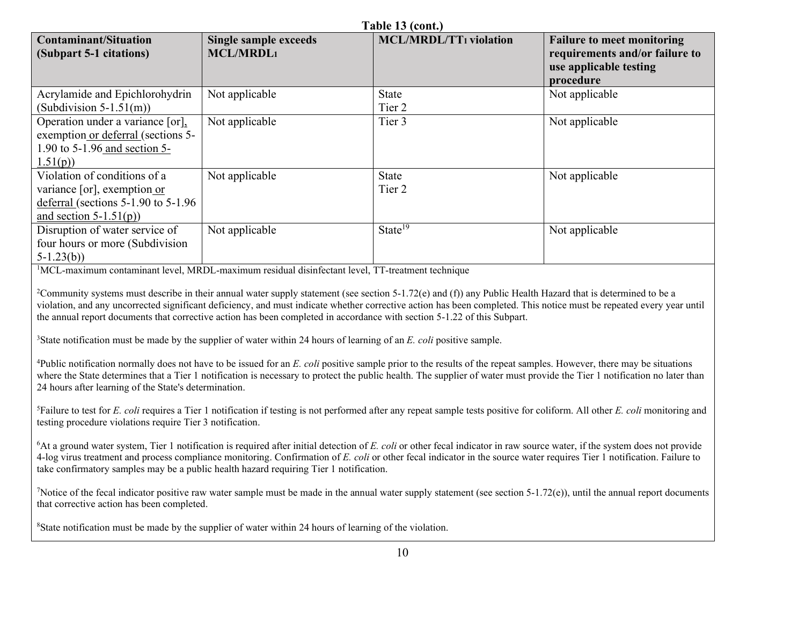| Table 13 (cont.)                                                                                                                  |                                                                                                                                                       |                               |                                                                                                            |  |  |
|-----------------------------------------------------------------------------------------------------------------------------------|-------------------------------------------------------------------------------------------------------------------------------------------------------|-------------------------------|------------------------------------------------------------------------------------------------------------|--|--|
| <b>Contaminant/Situation</b><br>(Subpart 5-1 citations)                                                                           | <b>Single sample exceeds</b><br><b>MCL/MRDL1</b>                                                                                                      | <b>MCL/MRDL/TT1</b> violation | <b>Failure to meet monitoring</b><br>requirements and/or failure to<br>use applicable testing<br>procedure |  |  |
| Acrylamide and Epichlorohydrin                                                                                                    | Not applicable                                                                                                                                        | State                         | Not applicable                                                                                             |  |  |
| $(Subdivision 5-1.51(m))$                                                                                                         |                                                                                                                                                       | Tier 2                        |                                                                                                            |  |  |
| Operation under a variance [or],<br>exemption or deferral (sections 5-<br>1.90 to 5-1.96 and section 5-<br>1.51(p)                | Not applicable                                                                                                                                        | Tier 3                        | Not applicable                                                                                             |  |  |
| Violation of conditions of a<br>variance [or], exemption or<br>deferral (sections $5-1.90$ to $5-1.96$<br>and section $5-1.51(p)$ | Not applicable                                                                                                                                        | <b>State</b><br>Tier 2        | Not applicable                                                                                             |  |  |
| Disruption of water service of<br>four hours or more (Subdivision<br>$5-1.23(b)$                                                  | Not applicable<br>$\mathbf{r}$ and $\mathbf{r}$ and $\mathbf{r}$ and $\mathbf{r}$ and $\mathbf{r}$ and $\mathbf{r}$ and $\mathbf{r}$ and $\mathbf{r}$ | State <sup>19</sup><br>$\sim$ | Not applicable                                                                                             |  |  |

<sup>1</sup>MCL-maximum contaminant level, MRDL-maximum residual disinfectant level, TT-treatment technique

<sup>2</sup>Community systems must describe in their annual water supply statement (see section 5-1.72(e) and (f)) any Public Health Hazard that is determined to be a violation, and any uncorrected significant deficiency, and must indicate whether corrective action has been completed. This notice must be repeated every year until the annual report documents that corrective action has been completed in accordance with section 5-1.22 of this Subpart.

<sup>3</sup>State notification must be made by the supplier of water within 24 hours of learning of an *E. coli* positive sample.

<sup>4</sup>Public notification normally does not have to be issued for an *E. coli* positive sample prior to the results of the repeat samples. However, there may be situations where the State determines that a Tier 1 notification is necessary to protect the public health. The supplier of water must provide the Tier 1 notification no later than 24 hours after learning of the State's determination.

<sup>5</sup>Failure to test for *E. coli* requires a Tier 1 notification if testing is not performed after any repeat sample tests positive for coliform. All other *E. coli* monitoring and testing procedure violations require Tier 3 notification.

<sup>6</sup>At a ground water system, Tier 1 notification is required after initial detection of *E. coli* or other fecal indicator in raw source water, if the system does not provide 4-log virus treatment and process compliance monitoring. Confirmation of *E. coli* or other fecal indicator in the source water requires Tier 1 notification. Failure to take confirmatory samples may be a public health hazard requiring Tier 1 notification.

<sup>7</sup>Notice of the fecal indicator positive raw water sample must be made in the annual water supply statement (see section 5-1.72(e)), until the annual report documents that corrective action has been completed.

<sup>8</sup>State notification must be made by the supplier of water within 24 hours of learning of the violation.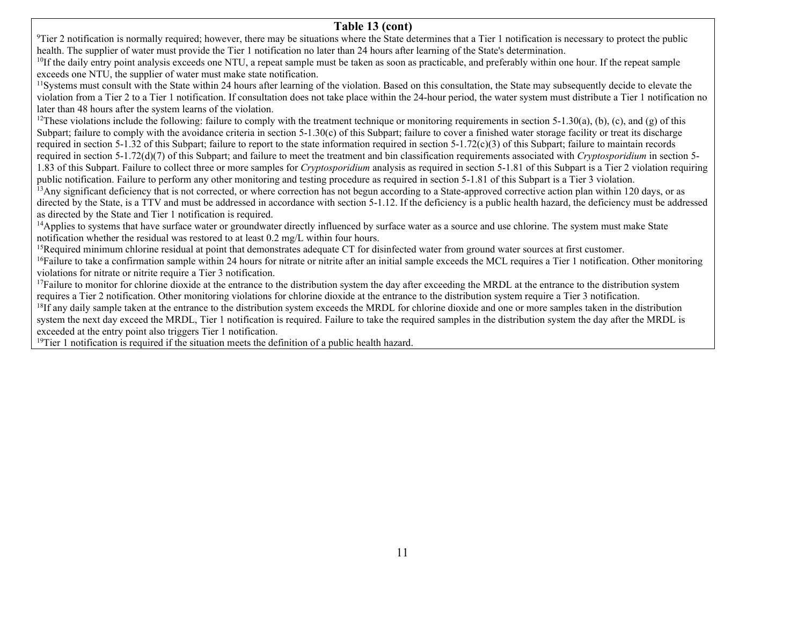### **Table 13 (cont)**

 $9$ Tier 2 notification is normally required; however, there may be situations where the State determines that a Tier 1 notification is necessary to protect the public health. The supplier of water must provide the Tier 1 notification no later than 24 hours after learning of the State's determination.

<sup>10</sup>If the daily entry point analysis exceeds one NTU, a repeat sample must be taken as soon as practicable, and preferably within one hour. If the repeat sample exceeds one NTU, the supplier of water must make state notification.

<sup>11</sup>Systems must consult with the State within 24 hours after learning of the violation. Based on this consultation, the State may subsequently decide to elevate the violation from a Tier 2 to a Tier 1 notification. If consultation does not take place within the 24-hour period, the water system must distribute a Tier 1 notification no later than 48 hours after the system learns of the violation.

 $^{12}$ These violations include the following: failure to comply with the treatment technique or monitoring requirements in section 5-1.30(a), (b), (c), and (g) of this Subpart; failure to comply with the avoidance criteria in section 5-1.30(c) of this Subpart; failure to cover a finished water storage facility or treat its discharge required in section 5-1.32 of this Subpart; failure to report to the state information required in section  $5-1.72(c)(3)$  of this Subpart; failure to maintain records required in section 5-1.72(d)(7) of this Subpart; and failure to meet the treatment and bin classification requirements associated with *Cryptosporidium* in section 5-1.83 of this Subpart. Failure to collect three or more samples for *Cryptosporidium* analysis as required in section 5-1.81 of this Subpart is a Tier 2 violation requiring

public notification. Failure to perform any other monitoring and testing procedure as required in section 5-1.81 of this Subpart is a Tier 3 violation.

<sup>13</sup>Any significant deficiency that is not corrected, or where correction has not begun according to a State-approved corrective action plan within 120 days, or as directed by the State, is a TTV and must be addressed in accordance with section 5-1.12. If the deficiency is a public health hazard, the deficiency must be addressed as directed by the State and Tier 1 notification is required.

<sup>14</sup>Applies to systems that have surface water or groundwater directly influenced by surface water as a source and use chlorine. The system must make State notification whether the residual was restored to at least 0.2 mg/L within four hours.

<sup>15</sup>Required minimum chlorine residual at point that demonstrates adequate CT for disinfected water from ground water sources at first customer.

<sup>16</sup>Failure to take a confirmation sample within 24 hours for nitrate or nitrite after an initial sample exceeds the MCL requires a Tier 1 notification. Other monitoring violations for nitrate or nitrite require a Tier 3 notification.

<sup>17</sup>Failure to monitor for chlorine dioxide at the entrance to the distribution system the day after exceeding the MRDL at the entrance to the distribution system requires a Tier 2 notification. Other monitoring violations for chlorine dioxide at the entrance to the distribution system require a Tier 3 notification.

<sup>18</sup>If any daily sample taken at the entrance to the distribution system exceeds the MRDL for chlorine dioxide and one or more samples taken in the distribution system the next day exceed the MRDL, Tier 1 notification is required. Failure to take the required samples in the distribution system the day after the MRDL is exceeded at the entry point also triggers Tier 1 notification.

 $19$ Tier 1 notification is required if the situation meets the definition of a public health hazard.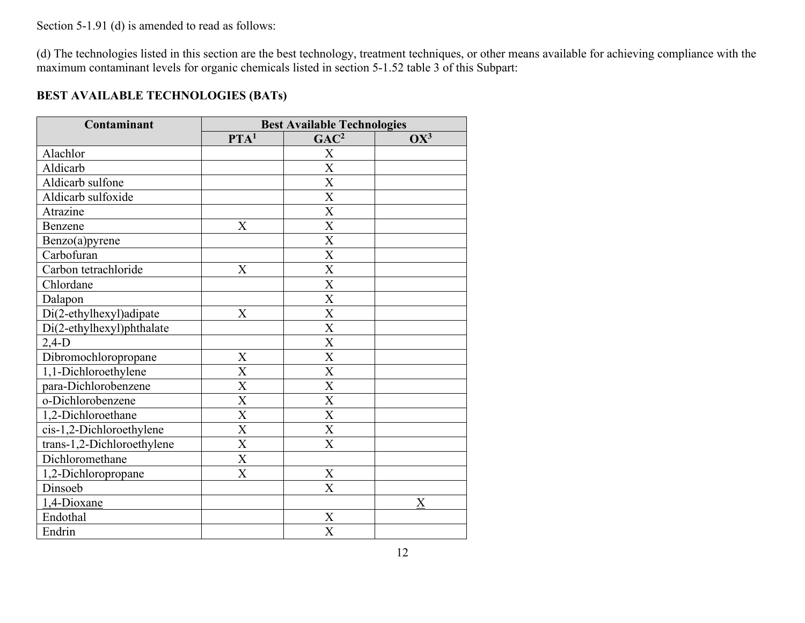Section 5-1.91 (d) is amended to read as follows:

(d) The technologies listed in this section are the best technology, treatment techniques, or other means available for achieving compliance with the maximum contaminant levels for organic chemicals listed in section 5-1.52 table 3 of this Subpart:

### **BEST AVAILABLE TECHNOLOGIES (BATs)**

| Contaminant                | <b>Best Available Technologies</b> |                           |        |  |
|----------------------------|------------------------------------|---------------------------|--------|--|
|                            | PTA <sup>1</sup>                   | GAC <sup>2</sup>          | $OX^3$ |  |
| Alachlor                   |                                    | X                         |        |  |
| Aldicarb                   |                                    | $\overline{X}$            |        |  |
| Aldicarb sulfone           |                                    | $\boldsymbol{\mathrm{X}}$ |        |  |
| Aldicarb sulfoxide         |                                    | $\overline{\text{X}}$     |        |  |
| Atrazine                   |                                    | X                         |        |  |
| Benzene                    | X                                  | $\overline{X}$            |        |  |
| Benzo(a)pyrene             |                                    | $\boldsymbol{\mathrm{X}}$ |        |  |
| Carbofuran                 |                                    | $\overline{\text{X}}$     |        |  |
| Carbon tetrachloride       | $\overline{X}$                     | $\overline{\text{X}}$     |        |  |
| Chlordane                  |                                    | $\boldsymbol{\mathrm{X}}$ |        |  |
| Dalapon                    |                                    | $\overline{\text{X}}$     |        |  |
| Di(2-ethylhexyl)adipate    | X                                  | $\overline{X}$            |        |  |
| Di(2-ethylhexyl)phthalate  |                                    | $\mathbf X$               |        |  |
| $2,4-D$                    |                                    | $\boldsymbol{\mathrm{X}}$ |        |  |
| Dibromochloropropane       | $\boldsymbol{\mathrm{X}}$          | $\mathbf X$               |        |  |
| 1,1-Dichloroethylene       | $\overline{X}$                     | X                         |        |  |
| para-Dichlorobenzene       | X                                  | $\boldsymbol{\mathrm{X}}$ |        |  |
| o-Dichlorobenzene          | $\overline{X}$                     | X                         |        |  |
| 1,2-Dichloroethane         | X                                  | $\boldsymbol{\mathrm{X}}$ |        |  |
| cis-1,2-Dichloroethylene   | X                                  | $\boldsymbol{\mathrm{X}}$ |        |  |
| trans-1,2-Dichloroethylene | $\boldsymbol{\mathrm{X}}$          | $\boldsymbol{\mathrm{X}}$ |        |  |
| Dichloromethane            | $\overline{X}$                     |                           |        |  |
| 1,2-Dichloropropane        | $\overline{X}$                     | X                         |        |  |
| Dinsoeb                    |                                    | $\boldsymbol{\mathrm{X}}$ |        |  |
| 1,4-Dioxane                |                                    |                           | X      |  |
| Endothal                   |                                    | X                         |        |  |
| Endrin                     |                                    | X                         |        |  |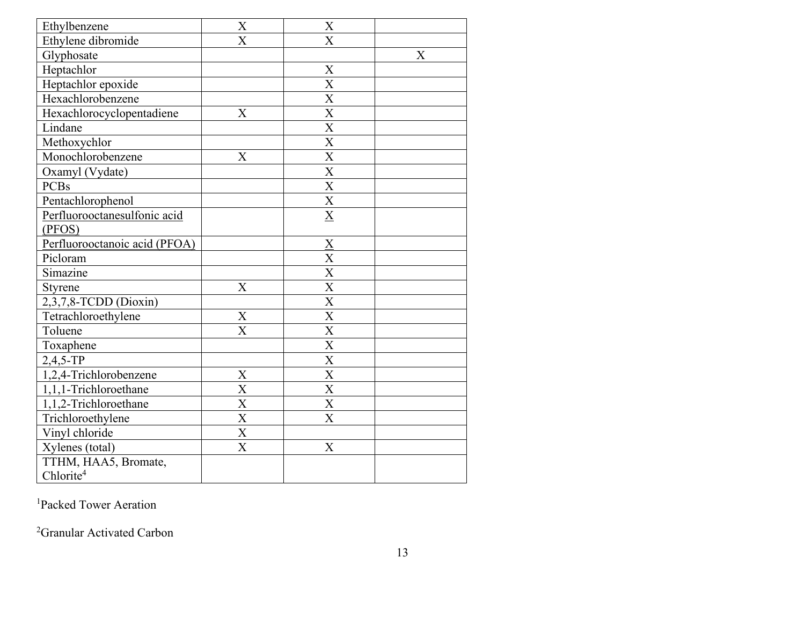| Ethylbenzene                  | $\mathbf X$               | $\mathbf X$               |   |
|-------------------------------|---------------------------|---------------------------|---|
| Ethylene dibromide            | $\overline{X}$            | $\overline{\text{X}}$     |   |
| Glyphosate                    |                           |                           | X |
| Heptachlor                    |                           | X                         |   |
| Heptachlor epoxide            |                           | $\boldsymbol{\mathrm{X}}$ |   |
| Hexachlorobenzene             |                           | $\overline{\text{X}}$     |   |
| Hexachlorocyclopentadiene     | X                         | $\boldsymbol{\mathrm{X}}$ |   |
| Lindane                       |                           | $\overline{\text{X}}$     |   |
| Methoxychlor                  |                           | $\mathbf X$               |   |
| Monochlorobenzene             | $\boldsymbol{X}$          | $\overline{\text{X}}$     |   |
| Oxamyl (Vydate)               |                           | $\overline{\mathrm{X}}$   |   |
| <b>PCBs</b>                   |                           | $\mathbf X$               |   |
| Pentachlorophenol             |                           | $\overline{\text{X}}$     |   |
| Perfluorooctanesulfonic acid  |                           | $\overline{\mathbf{X}}$   |   |
| (PFOS)                        |                           |                           |   |
| Perfluorooctanoic acid (PFOA) |                           |                           |   |
| Picloram                      |                           | $\frac{X}{X}$             |   |
| Simazine                      |                           | $\overline{\text{X}}$     |   |
| Styrene                       | $\boldsymbol{\mathrm{X}}$ | $\boldsymbol{\mathrm{X}}$ |   |
| 2,3,7,8-TCDD (Dioxin)         |                           | $\overline{\text{X}}$     |   |
| Tetrachloroethylene           | $\boldsymbol{\mathrm{X}}$ | $\overline{\text{X}}$     |   |
| Toluene                       | $\overline{\text{X}}$     | $\overline{\text{X}}$     |   |
| Toxaphene                     |                           | $\overline{\text{X}}$     |   |
| $2,4,5$ -TP                   |                           | $\overline{X}$            |   |
| 1,2,4-Trichlorobenzene        | $\mathbf X$               | $\mathbf X$               |   |
| 1,1,1-Trichloroethane         | $\overline{\text{X}}$     | $\boldsymbol{\mathrm{X}}$ |   |
| 1,1,2-Trichloroethane         | $\overline{\text{X}}$     | $\overline{\text{X}}$     |   |
| Trichloroethylene             | $\overline{\mathbf{X}}$   | $\overline{\mathrm{X}}$   |   |
| Vinyl chloride                | $\overline{\text{X}}$     |                           |   |
| Xylenes (total)               | $\boldsymbol{\mathrm{X}}$ | X                         |   |
| TTHM, HAA5, Bromate,          |                           |                           |   |
| Chlorite <sup>4</sup>         |                           |                           |   |

<sup>1</sup>Packed Tower Aeration

<sup>2</sup>Granular Activated Carbon